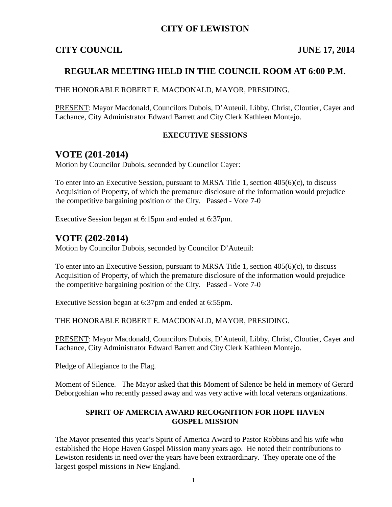#### **CITY OF LEWISTON**

#### **CITY COUNCIL JUNE 17, 2014**

### **REGULAR MEETING HELD IN THE COUNCIL ROOM AT 6:00 P.M.**

THE HONORABLE ROBERT E. MACDONALD, MAYOR, PRESIDING.

PRESENT: Mayor Macdonald, Councilors Dubois, D'Auteuil, Libby, Christ, Cloutier, Cayer and Lachance, City Administrator Edward Barrett and City Clerk Kathleen Montejo.

#### **EXECUTIVE SESSIONS**

## **VOTE (201-2014)**

Motion by Councilor Dubois, seconded by Councilor Cayer:

To enter into an Executive Session, pursuant to MRSA Title 1, section 405(6)(c), to discuss Acquisition of Property, of which the premature disclosure of the information would prejudice the competitive bargaining position of the City. Passed - Vote 7-0

Executive Session began at 6:15pm and ended at 6:37pm.

### **VOTE (202-2014)**

Motion by Councilor Dubois, seconded by Councilor D'Auteuil:

To enter into an Executive Session, pursuant to MRSA Title 1, section 405(6)(c), to discuss Acquisition of Property, of which the premature disclosure of the information would prejudice the competitive bargaining position of the City. Passed - Vote 7-0

Executive Session began at 6:37pm and ended at 6:55pm.

THE HONORABLE ROBERT E. MACDONALD, MAYOR, PRESIDING.

PRESENT: Mayor Macdonald, Councilors Dubois, D'Auteuil, Libby, Christ, Cloutier, Cayer and Lachance, City Administrator Edward Barrett and City Clerk Kathleen Montejo.

Pledge of Allegiance to the Flag.

Moment of Silence. The Mayor asked that this Moment of Silence be held in memory of Gerard Deborgoshian who recently passed away and was very active with local veterans organizations.

#### **SPIRIT OF AMERCIA AWARD RECOGNITION FOR HOPE HAVEN GOSPEL MISSION**

The Mayor presented this year's Spirit of America Award to Pastor Robbins and his wife who established the Hope Haven Gospel Mission many years ago. He noted their contributions to Lewiston residents in need over the years have been extraordinary. They operate one of the largest gospel missions in New England.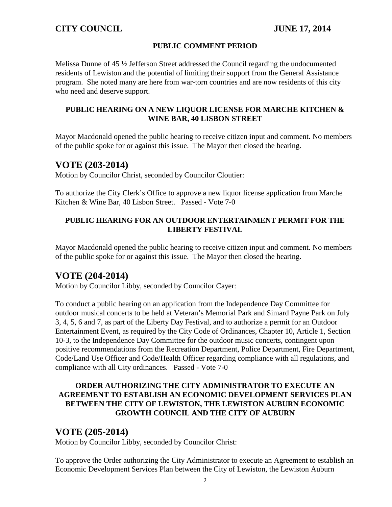#### **PUBLIC COMMENT PERIOD**

Melissa Dunne of 45 ½ Jefferson Street addressed the Council regarding the undocumented residents of Lewiston and the potential of limiting their support from the General Assistance program. She noted many are here from war-torn countries and are now residents of this city who need and deserve support.

#### **PUBLIC HEARING ON A NEW LIQUOR LICENSE FOR MARCHE KITCHEN & WINE BAR, 40 LISBON STREET**

Mayor Macdonald opened the public hearing to receive citizen input and comment. No members of the public spoke for or against this issue. The Mayor then closed the hearing.

## **VOTE (203-2014)**

Motion by Councilor Christ, seconded by Councilor Cloutier:

To authorize the City Clerk's Office to approve a new liquor license application from Marche Kitchen & Wine Bar, 40 Lisbon Street. Passed - Vote 7-0

#### **PUBLIC HEARING FOR AN OUTDOOR ENTERTAINMENT PERMIT FOR THE LIBERTY FESTIVAL**

Mayor Macdonald opened the public hearing to receive citizen input and comment. No members of the public spoke for or against this issue. The Mayor then closed the hearing.

# **VOTE (204-2014)**

Motion by Councilor Libby, seconded by Councilor Cayer:

To conduct a public hearing on an application from the Independence Day Committee for outdoor musical concerts to be held at Veteran's Memorial Park and Simard Payne Park on July 3, 4, 5, 6 and 7, as part of the Liberty Day Festival, and to authorize a permit for an Outdoor Entertainment Event, as required by the City Code of Ordinances, Chapter 10, Article 1, Section 10-3, to the Independence Day Committee for the outdoor music concerts, contingent upon positive recommendations from the Recreation Department, Police Department, Fire Department, Code/Land Use Officer and Code/Health Officer regarding compliance with all regulations, and compliance with all City ordinances. Passed - Vote 7-0

#### **ORDER AUTHORIZING THE CITY ADMINISTRATOR TO EXECUTE AN AGREEMENT TO ESTABLISH AN ECONOMIC DEVELOPMENT SERVICES PLAN BETWEEN THE CITY OF LEWISTON, THE LEWISTON AUBURN ECONOMIC GROWTH COUNCIL AND THE CITY OF AUBURN**

## **VOTE (205-2014)**

Motion by Councilor Libby, seconded by Councilor Christ:

To approve the Order authorizing the City Administrator to execute an Agreement to establish an Economic Development Services Plan between the City of Lewiston, the Lewiston Auburn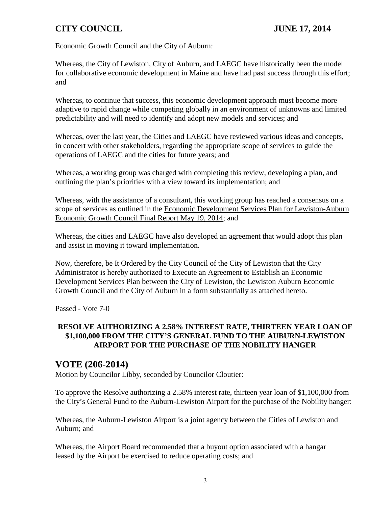# **CITY COUNCIL JUNE 17, 2014**

Economic Growth Council and the City of Auburn:

Whereas, the City of Lewiston, City of Auburn, and LAEGC have historically been the model for collaborative economic development in Maine and have had past success through this effort; and

Whereas, to continue that success, this economic development approach must become more adaptive to rapid change while competing globally in an environment of unknowns and limited predictability and will need to identify and adopt new models and services; and

Whereas, over the last year, the Cities and LAEGC have reviewed various ideas and concepts, in concert with other stakeholders, regarding the appropriate scope of services to guide the operations of LAEGC and the cities for future years; and

Whereas, a working group was charged with completing this review, developing a plan, and outlining the plan's priorities with a view toward its implementation; and

Whereas, with the assistance of a consultant, this working group has reached a consensus on a scope of services as outlined in the Economic Development Services Plan for Lewiston-Auburn Economic Growth Council Final Report May 19, 2014; and

Whereas, the cities and LAEGC have also developed an agreement that would adopt this plan and assist in moving it toward implementation.

Now, therefore, be It Ordered by the City Council of the City of Lewiston that the City Administrator is hereby authorized to Execute an Agreement to Establish an Economic Development Services Plan between the City of Lewiston, the Lewiston Auburn Economic Growth Council and the City of Auburn in a form substantially as attached hereto.

Passed - Vote 7-0

#### **RESOLVE AUTHORIZING A 2.58% INTEREST RATE, THIRTEEN YEAR LOAN OF \$1,100,000 FROM THE CITY'S GENERAL FUND TO THE AUBURN-LEWISTON AIRPORT FOR THE PURCHASE OF THE NOBILITY HANGER**

# **VOTE (206-2014)**

Motion by Councilor Libby, seconded by Councilor Cloutier:

To approve the Resolve authorizing a 2.58% interest rate, thirteen year loan of \$1,100,000 from the City's General Fund to the Auburn-Lewiston Airport for the purchase of the Nobility hanger:

Whereas, the Auburn-Lewiston Airport is a joint agency between the Cities of Lewiston and Auburn; and

Whereas, the Airport Board recommended that a buyout option associated with a hangar leased by the Airport be exercised to reduce operating costs; and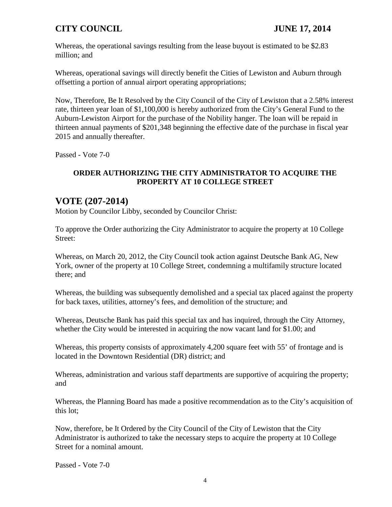# **CITY COUNCIL JUNE 17, 2014**

Whereas, the operational savings resulting from the lease buyout is estimated to be \$2.83 million; and

Whereas, operational savings will directly benefit the Cities of Lewiston and Auburn through offsetting a portion of annual airport operating appropriations;

Now, Therefore, Be It Resolved by the City Council of the City of Lewiston that a 2.58% interest rate, thirteen year loan of \$1,100,000 is hereby authorized from the City's General Fund to the Auburn-Lewiston Airport for the purchase of the Nobility hanger. The loan will be repaid in thirteen annual payments of \$201,348 beginning the effective date of the purchase in fiscal year 2015 and annually thereafter.

Passed - Vote 7-0

#### **ORDER AUTHORIZING THE CITY ADMINISTRATOR TO ACQUIRE THE PROPERTY AT 10 COLLEGE STREET**

# **VOTE (207-2014)**

Motion by Councilor Libby, seconded by Councilor Christ:

To approve the Order authorizing the City Administrator to acquire the property at 10 College Street:

Whereas, on March 20, 2012, the City Council took action against Deutsche Bank AG, New York, owner of the property at 10 College Street, condemning a multifamily structure located there; and

Whereas, the building was subsequently demolished and a special tax placed against the property for back taxes, utilities, attorney's fees, and demolition of the structure; and

Whereas, Deutsche Bank has paid this special tax and has inquired, through the City Attorney, whether the City would be interested in acquiring the now vacant land for \$1.00; and

Whereas, this property consists of approximately 4,200 square feet with 55' of frontage and is located in the Downtown Residential (DR) district; and

Whereas, administration and various staff departments are supportive of acquiring the property; and

Whereas, the Planning Board has made a positive recommendation as to the City's acquisition of this lot;

Now, therefore, be It Ordered by the City Council of the City of Lewiston that the City Administrator is authorized to take the necessary steps to acquire the property at 10 College Street for a nominal amount.

Passed - Vote 7-0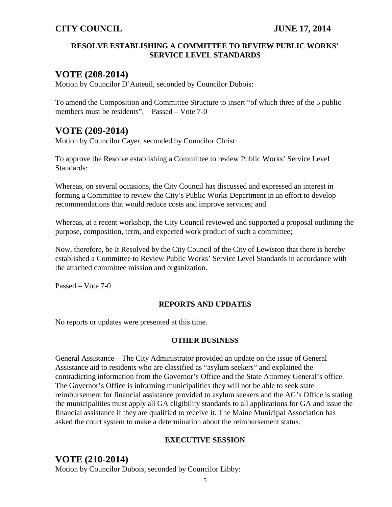#### **RESOLVE ESTABLISHING A COMMITTEE TO REVIEW PUBLIC WORKS' SERVICE LEVEL STANDARDS**

# **VOTE (208-2014)**

Motion by Councilor D'Auteuil, seconded by Councilor Dubois:

To amend the Composition and Committee Structure to insert "of which three of the 5 public members must be residents". Passed – Vote 7-0

# **VOTE (209-2014)**

Motion by Councilor Cayer, seconded by Councilor Christ:

To approve the Resolve establishing a Committee to review Public Works' Service Level Standards:

Whereas, on several occasions, the City Council has discussed and expressed an interest in forming a Committee to review the City's Public Works Department in an effort to develop recommendations that would reduce costs and improve services; and

Whereas, at a recent workshop, the City Council reviewed and supported a proposal outlining the purpose, composition, term, and expected work product of such a committee;

Now, therefore, be It Resolved by the City Council of the City of Lewiston that there is hereby established a Committee to Review Public Works' Service Level Standards in accordance with the attached committee mission and organization.

Passed – Vote 7-0

#### **REPORTS AND UPDATES**

No reports or updates were presented at this time.

#### **OTHER BUSINESS**

General Assistance – The City Administrator provided an update on the issue of General Assistance aid to residents who are classified as "asylum seekers" and explained the contradicting information from the Governor's Office and the State Attorney General's office. The Governor's Office is informing municipalities they will not be able to seek state reimbursement for financial assistance provided to asylum seekers and the AG's Office is stating the municipalities must apply all GA eligibility standards to all applications for GA and issue the financial assistance if they are qualified to receive it. The Maine Municipal Association has asked the court system to make a determination about the reimbursement status.

#### **EXECUTIVE SESSION**

# **VOTE (210-2014)**

Motion by Councilor Dubois, seconded by Councilor Libby: